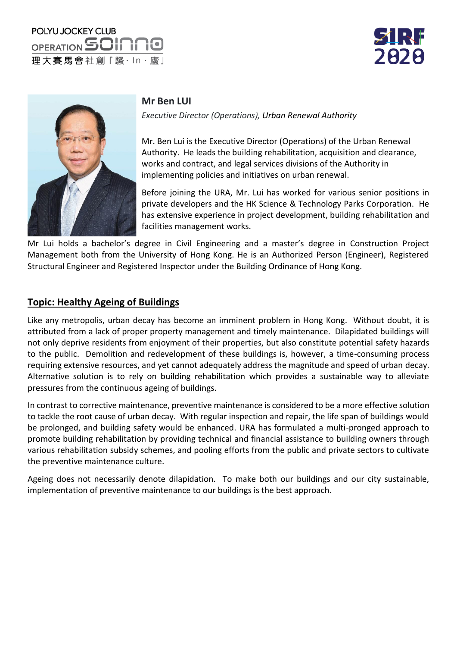





## **Mr Ben LUI**

*Executive Director (Operations), Urban Renewal Authority*

Mr. Ben Lui is the Executive Director (Operations) of the Urban Renewal Authority. He leads the building rehabilitation, acquisition and clearance, works and contract, and legal services divisions of the Authority in implementing policies and initiatives on urban renewal.

Before joining the URA, Mr. Lui has worked for various senior positions in private developers and the HK Science & Technology Parks Corporation. He has extensive experience in project development, building rehabilitation and facilities management works.

Mr Lui holds a bachelor's degree in Civil Engineering and a master's degree in Construction Project Management both from the University of Hong Kong. He is an Authorized Person (Engineer), Registered Structural Engineer and Registered Inspector under the Building Ordinance of Hong Kong.

## **Topic: Healthy Ageing of Buildings**

Like any metropolis, urban decay has become an imminent problem in Hong Kong. Without doubt, it is attributed from a lack of proper property management and timely maintenance. Dilapidated buildings will not only deprive residents from enjoyment of their properties, but also constitute potential safety hazards to the public. Demolition and redevelopment of these buildings is, however, a time-consuming process requiring extensive resources, and yet cannot adequately address the magnitude and speed of urban decay. Alternative solution is to rely on building rehabilitation which provides a sustainable way to alleviate pressures from the continuous ageing of buildings.

In contrast to corrective maintenance, preventive maintenance is considered to be a more effective solution to tackle the root cause of urban decay. With regular inspection and repair, the life span of buildings would be prolonged, and building safety would be enhanced. URA has formulated a multi-pronged approach to promote building rehabilitation by providing technical and financial assistance to building owners through various rehabilitation subsidy schemes, and pooling efforts from the public and private sectors to cultivate the preventive maintenance culture.

Ageing does not necessarily denote dilapidation. To make both our buildings and our city sustainable, implementation of preventive maintenance to our buildings is the best approach.